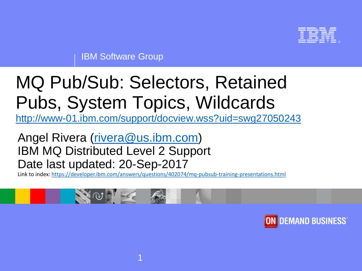

IBM Software Group

# MQ Pub/Sub: Selectors, Retained Pubs, System Topics, Wildcards

<http://www-01.ibm.com/support/docview.wss?uid=swg27050243>

### Angel Rivera [\(rivera@us.ibm.com\)](mailto:rivera@us.ibm.com) IBM MQ Distributed Level 2 Support Date last updated: 20-Sep-2017

Link to index:<https://developer.ibm.com/answers/questions/402074/mq-pubsub-training-presentations.html>

1



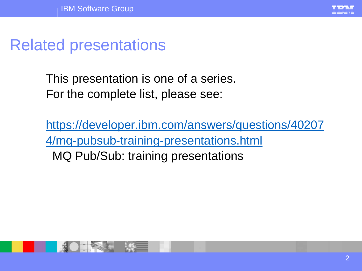

### Related presentations

This presentation is one of a series. For the complete list, please see:

[https://developer.ibm.com/answers/questions/40207](https://developer.ibm.com/answers/questions/402074/mq-pubsub-training-presentations.html) 4/mq-pubsub-training-presentations.html MQ Pub/Sub: training presentations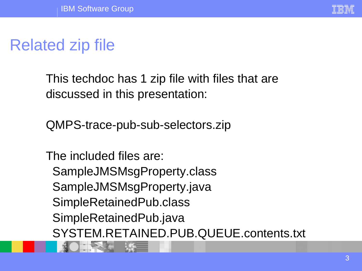

# Related zip file

This techdoc has 1 zip file with files that are discussed in this presentation:

QMPS-trace-pub-sub-selectors.zip

The included files are: SampleJMSMsgProperty.class SampleJMSMsgProperty.java SimpleRetainedPub.class SimpleRetainedPub.java SYSTEM.RETAINED.PUB.QUEUE.contents.txt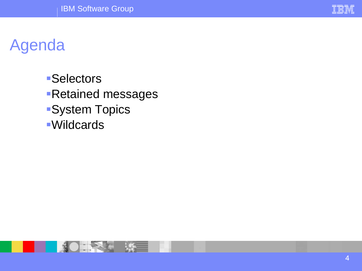

# Agenda

- **•Selectors Retained messages ·System Topics**
- Wildcards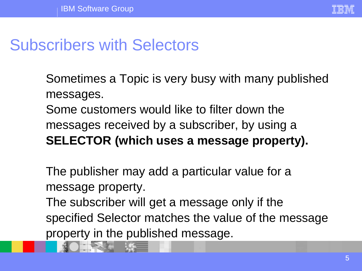

### Subscribers with Selectors

Sometimes a Topic is very busy with many published messages.

Some customers would like to filter down the messages received by a subscriber, by using a **SELECTOR (which uses a message property).**

The publisher may add a particular value for a message property.

The subscriber will get a message only if the specified Selector matches the value of the message property in the published message.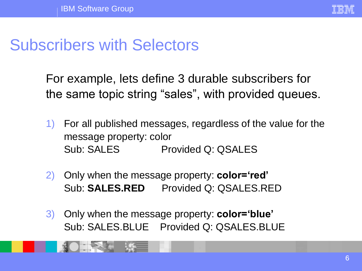

# Subscribers with Selectors

For example, lets define 3 durable subscribers for the same topic string "sales", with provided queues.

- 1) For all published messages, regardless of the value for the message property: color Sub: SALES Provided Q: QSALES
- 2) Only when the message property: **color='red'** Sub: **SALES.RED** Provided Q: QSALES.RED
- 3) Only when the message property: **color='blue'** Sub: SALES.BLUE Provided Q: QSALES.BLUE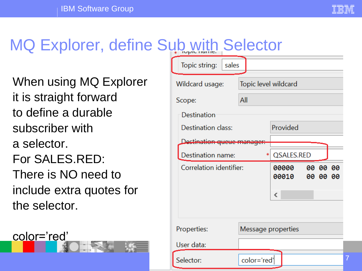# MQ Explorer, define Sub with Selector

When using MQ Explorer it is straight forward to define a durable subscriber with a selector. For SALES.RED: There is NO need to include extra quotes for the selector.

color='red'

| ĸ                               | <b>OBIECIUI</b>      |          |          |   |  |
|---------------------------------|----------------------|----------|----------|---|--|
| Topic string:<br>sales          |                      |          |          |   |  |
| Wildcard usage:                 | Topic level wildcard |          |          |   |  |
| Scope:                          | All                  |          |          |   |  |
| Destination                     |                      |          |          |   |  |
| Destination class:              | Provided             |          |          |   |  |
| <u>Destination queue manage</u> |                      |          |          |   |  |
| Destination name:               | QSALES.RED<br>*      |          |          |   |  |
| Correlation identifier:         | 00000<br>00010       | 00 00 00 | 00 00 00 |   |  |
|                                 |                      | ∢        |          |   |  |
|                                 |                      |          |          |   |  |
| Properties:                     | Message properties   |          |          |   |  |
| User data:                      |                      |          |          |   |  |
| Selector:                       | color='red'          |          |          | 7 |  |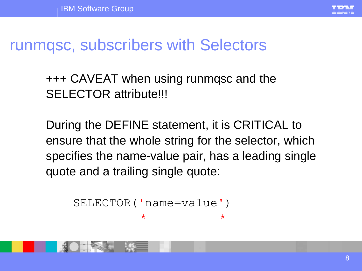

+++ CAVEAT when using runmqsc and the SELECTOR attribute!!!

During the DEFINE statement, it is CRITICAL to ensure that the whole string for the selector, which specifies the name-value pair, has a leading single quote and a trailing single quote:

```
SELECTOR('name=value')
         \star \star
```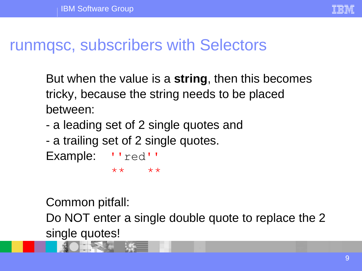

But when the value is a **string**, then this becomes tricky, because the string needs to be placed between:

- a leading set of 2 single quotes and
- a trailing set of 2 single quotes.

```
Example: ''red''
         ** **
```
Common pitfall:

Do NOT enter a single double quote to replace the 2 single quotes!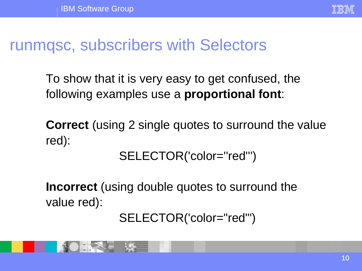

To show that it is very easy to get confused, the following examples use a **proportional font**:

**Correct** (using 2 single quotes to surround the value red):

SELECTOR('color="red"')

**Incorrect** (using double quotes to surround the value red):

### SELECTOR('color="red"')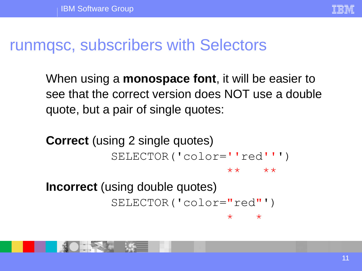

When using a **monospace font**, it will be easier to see that the correct version does NOT use a double quote, but a pair of single quotes:

**Correct** (using 2 single quotes) SELECTOR('color=''red''') \*\* \*\* **Incorrect** (using double quotes) SELECTOR('color="red"') \* \*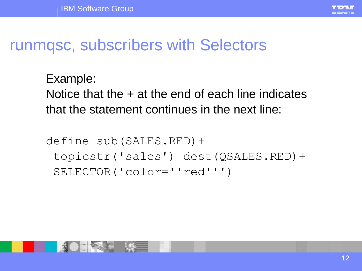

Example: Notice that the  $+$  at the end of each line indicates that the statement continues in the next line:

define sub(SALES.RED)+ topicstr('sales') dest(QSALES.RED)+ SELECTOR('color=''red''')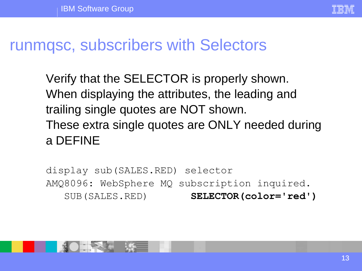

Verify that the SELECTOR is properly shown. When displaying the attributes, the leading and trailing single quotes are NOT shown. These extra single quotes are ONLY needed during a DEFINE

display sub(SALES.RED) selector AMQ8096: WebSphere MQ subscription inquired. SUB(SALES.RED) **SELECTOR(color='red')**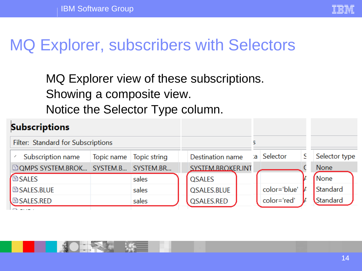

# MQ Explorer, subscribers with Selectors

### MQ Explorer view of these subscriptions. Showing a composite view. Notice the Selector Type column.

#### **Subscriptions** Filter: Standard for Subscriptions 5 Selector type Selector Subscription name Topic name **Topic string** Destination name a S **EQMPS SYSTEM.BROK... SYSTEM.B...** SYSTEM.BR... SYSTEM.BROKER.INT **None BSALES** None **OSALES** sales color='blue' Standard **BSALES.BLUE OSALES.BLUE** sales color='red' QSALES.RED Standard **BSALES.RED** sales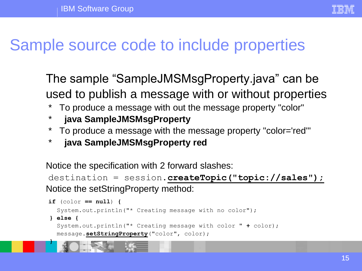

### Sample source code to include properties

The sample "SampleJMSMsgProperty.java" can be used to publish a message with or without properties

- \* To produce a message with out the message property "color"
- \* **java SampleJMSMsgProperty**

**}**

- \* To produce a message with the message property "color='red'"
- \* **java SampleJMSMsgProperty red**

Notice the specification with 2 forward slashes:

```
destination = session.createTopic("topic://sales");
Notice the setStringProperty method:
```

```
if (color == null) {
  System.out.println("* Creating message with no color");
} else {
  System.out.println("* Creating message with color " + color);
  message.setStringProperty("color", color);
```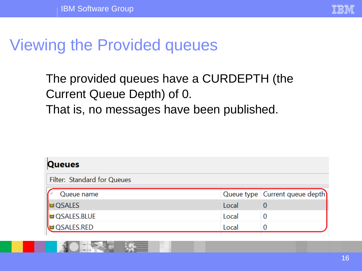

### Viewing the Provided queues

### The provided queues have a CURDEPTH (the Current Queue Depth) of 0. That is, no messages have been published.

| Queues                       |       |                                  |
|------------------------------|-------|----------------------------------|
| Filter: Standard for Queues  |       |                                  |
| Queue name                   |       | Queue type   Current queue depth |
| I⊠ QSALES                    | Local |                                  |
| <mark>।</mark> © QSALES.BLUE | Local |                                  |
| <b>D</b> QSALES.RED          | Local |                                  |
|                              |       |                                  |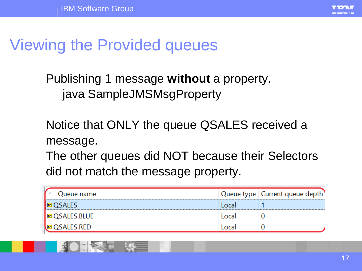

# Viewing the Provided queues

Publishing 1 message **without** a property. java SampleJMSMsgProperty

Notice that ONLY the queue QSALES received a message.

The other queues did NOT because their Selectors did not match the message property.

| Queue name            |        | Queue type   Current queue depth] |
|-----------------------|--------|-----------------------------------|
| I⊠OSALES              | Local  |                                   |
| ⊠ QSALES.BLUE         | Local  |                                   |
| <b>\</b> ⊠ QSALES.RED | l ocal |                                   |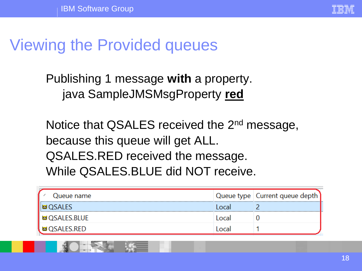

### Viewing the Provided queues

Publishing 1 message **with** a property. java SampleJMSMsgProperty **red**

Notice that QSALES received the 2<sup>nd</sup> message, because this queue will get ALL. QSALES.RED received the message. While QSALES.BLUE did NOT receive.

| Queue name      |       | Queue type   Current queue depth |
|-----------------|-------|----------------------------------|
| I⊠ OSALES       | Tocal |                                  |
| । ⊠ QSALES.BLUE | Local |                                  |
| ் ⊠ QSALES.RED  | Local |                                  |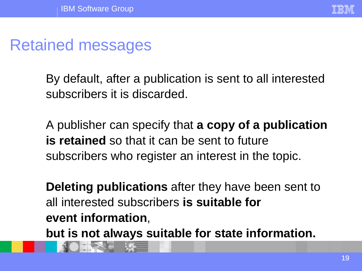### Retained messages

By default, after a publication is sent to all interested subscribers it is discarded.

A publisher can specify that **a copy of a publication is retained** so that it can be sent to future subscribers who register an interest in the topic.

**Deleting publications** after they have been sent to all interested subscribers **is suitable for event information**,

**but is not always suitable for state information.**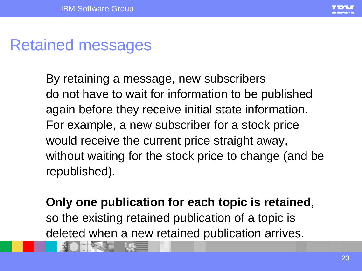

### Retained messages

By retaining a message, new subscribers do not have to wait for information to be published again before they receive initial state information. For example, a new subscriber for a stock price would receive the current price straight away, without waiting for the stock price to change (and be republished).

### **Only one publication for each topic is retained**,

so the existing retained publication of a topic is deleted when a new retained publication arrives.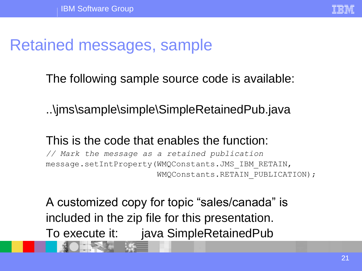

### Retained messages, sample

The following sample source code is available:

..\jms\sample\simple\SimpleRetainedPub.java

### This is the code that enables the function:

*// Mark the message as a retained publication* message.setIntProperty(WMQConstants.JMS\_IBM\_RETAIN, WMQConstants.RETAIN\_PUBLICATION);

A customized copy for topic "sales/canada" is included in the zip file for this presentation. To execute it: java SimpleRetainedPub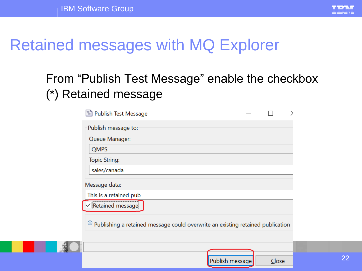

### Retained messages with MQ Explorer

### From "Publish Test Message" enable the checkbox (\*) Retained message

| <sup>1</sup> Publish Test Message                                              |  |
|--------------------------------------------------------------------------------|--|
| Publish message to:                                                            |  |
| Queue Manager:                                                                 |  |
| <b>QMPS</b>                                                                    |  |
| <b>Topic String:</b>                                                           |  |
| sales/canada                                                                   |  |
| Message data:                                                                  |  |
| This is a retained pub                                                         |  |
| Retained message                                                               |  |
| Publishing a retained message could overwrite an existing retained publication |  |



 $C$ lose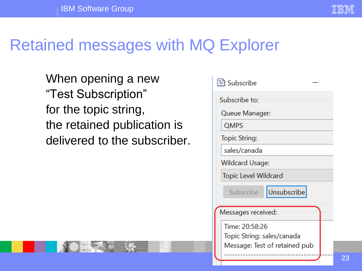

# Retained messages with MQ Explorer

When opening a new "Test Subscription" for the topic string, the retained publication is delivered to the subscriber.

| <sup>■</sup> Subscribe        |  |  |  |  |
|-------------------------------|--|--|--|--|
| Subscribe to:                 |  |  |  |  |
| Queue Manager:                |  |  |  |  |
| <b>QMPS</b>                   |  |  |  |  |
| Topic String:                 |  |  |  |  |
| sales/canada                  |  |  |  |  |
| Wildcard Usage:               |  |  |  |  |
| Topic Level Wildcard          |  |  |  |  |
| Unsubscribe<br>Subscribe      |  |  |  |  |
| Messages received:            |  |  |  |  |
| Time: 20:58:26                |  |  |  |  |
| Topic String: sales/canada    |  |  |  |  |
| Message: Test of retained pub |  |  |  |  |
|                               |  |  |  |  |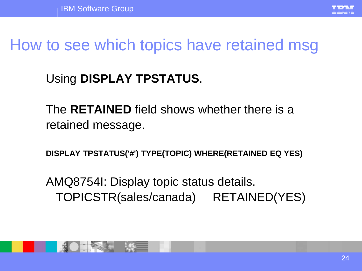

# How to see which topics have retained msg

### Using **DISPLAY TPSTATUS**.

The **RETAINED** field shows whether there is a retained message.

**DISPLAY TPSTATUS('#') TYPE(TOPIC) WHERE(RETAINED EQ YES)**

AMQ8754I: Display topic status details. TOPICSTR(sales/canada) RETAINED(YES)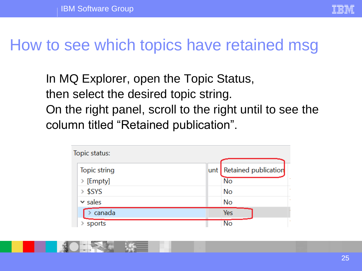

### How to see which topics have retained msg

In MQ Explorer, open the Topic Status, then select the desired topic string. On the right panel, scroll to the right until to see the column titled "Retained publication".

| Topic status: |                          |
|---------------|--------------------------|
| Topic string  | unt Retained publication |
| > [Empty]     | N <sub>o</sub>           |
| $>$ \$SYS     | <b>No</b>                |
| $\vee$ sales  | No                       |
| canada        | Yes                      |
| sports        | $\overline{\text{No}}$   |

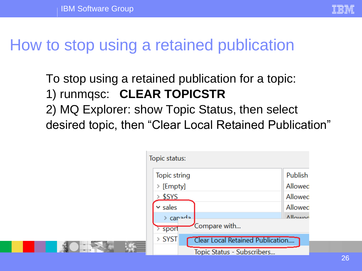

# How to stop using a retained publication

To stop using a retained publication for a topic: 1) runmqsc: **CLEAR TOPICSTR** 2) MQ Explorer: show Topic Status, then select desired topic, then "Clear Local Retained Publication"

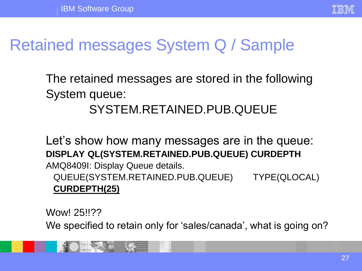

# Retained messages System Q / Sample

The retained messages are stored in the following System queue:

### SYSTEM.RETAINED.PUB.QUEUE

Let's show how many messages are in the queue: **DISPLAY QL(SYSTEM.RETAINED.PUB.QUEUE) CURDEPTH** AMQ8409I: Display Queue details. QUEUE(SYSTEM.RETAINED.PUB.QUEUE) TYPE(QLOCAL) **CURDEPTH(25)**

Wow! 25!!??

We specified to retain only for 'sales/canada', what is going on?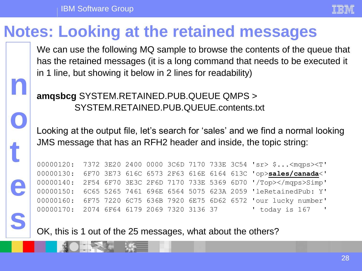**n**

**o**

**t**

**e**

**s**



### **Notes: Looking at the retained messages**

We can use the following MQ sample to browse the contents of the queue that has the retained messages (it is a long command that needs to be executed it in 1 line, but showing it below in 2 lines for readability)

### **amqsbcg** SYSTEM.RETAINED.PUB.QUEUE QMPS > SYSTEM.RETAINED.PUB.QUEUE.contents.txt

Looking at the output file, let's search for 'sales' and we find a normal looking JMS message that has an RFH2 header and inside, the topic string:

| 00000120: 7372 3E20 2400 0000 3C6D 7170 733E 3C54 'sr> \$< mgps> <t'< th=""><th></th><th></th><th></th><th></th><th></th></t'<> |  |  |  |  |  |
|---------------------------------------------------------------------------------------------------------------------------------|--|--|--|--|--|
| 00000130: 6F70 3E73 616C 6573 2F63 616E 6164 613C 'op>sales/canada<'                                                            |  |  |  |  |  |
| 00000140: 2F54 6F70 3E3C 2F6D 7170 733E 5369 6D70 '/Top>Simp'                                                                   |  |  |  |  |  |
| 00000150: 6C65 5265 7461 696E 6564 5075 623A 2059 'leRetainedPub: Y'                                                            |  |  |  |  |  |
| 00000160: 6F75 7220 6C75 636B 7920 6E75 6D62 6572 'our lucky number'                                                            |  |  |  |  |  |
|                                                                                                                                 |  |  |  |  |  |

OK, this is 1 out of the 25 messages, what about the others?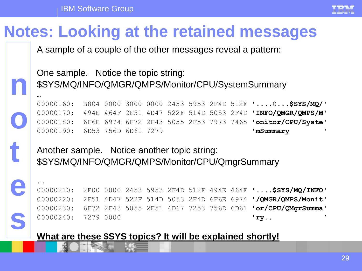IBM Software Group

**n**

…

..

**o**

**t**

**e**

**s**



# **Notes: Looking at the retained messages**

A sample of a couple of the other messages reveal a pattern:

One sample. Notice the topic string: \$SYS/MQ/INFO/QMGR/QMPS/Monitor/CPU/SystemSummary

00000160: B804 0000 3000 0000 2453 5953 2F4D 512F '....0...**\$SYS/MQ/**' 00000170: 494E 464F 2F51 4D47 522F 514D 5053 2F4D '**INFO/QMGR/QMPS/M**' 00000180: 6F6E 6974 6F72 2F43 5055 2F53 7973 7465 '**onitor/CPU/Syste**' 00000190: 6D53 756D 6D61 7279 '**mSummary** '

Another sample. Notice another topic string: \$SYS/MQ/INFO/QMGR/QMPS/Monitor/CPU/QmgrSummary

00000210: 2E00 0000 2453 5953 2F4D 512F 494E 464F '....**\$SYS/MQ/INFO**' 00000220: 2F51 4D47 522F 514D 5053 2F4D 6F6E 6974 '**/QMGR/QMPS/Monit**' 00000230: 6F72 2F43 5055 2F51 4D67 7253 756D 6D61 '**or/CPU/QMgrSumma**' 00000240: 7279 0000 '**ry**.. '

**What are these \$SYS topics? It will be explained shortly!**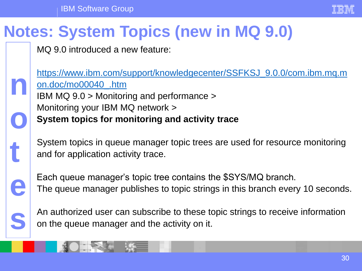IBM Software Group



# **Notes: System Topics (new in MQ 9.0)**

MQ 9.0 introduced a new feature:

[https://www.ibm.com/support/knowledgecenter/SSFKSJ\\_9.0.0/com.ibm.mq.m](https://www.ibm.com/support/knowledgecenter/SSFKSJ_9.0.0/com.ibm.mq.mon.doc/mo00040_.htm) on.doc/mo00040\_.htm IBM MQ 9.0 > Monitoring and performance > Monitoring your IBM MQ network > **System topics for monitoring and activity trace**

System topics in queue manager topic trees are used for resource monitoring and for application activity trace.



**s**

**t**

**n**

**o**

Each queue manager's topic tree contains the \$SYS/MQ branch. The queue manager publishes to topic strings in this branch every 10 seconds.

An authorized user can subscribe to these topic strings to receive information on the queue manager and the activity on it.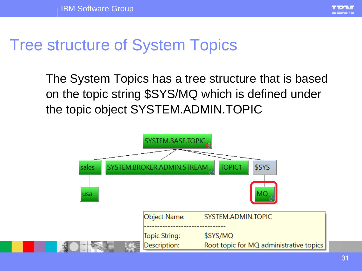

### Tree structure of System Topics

The System Topics has a tree structure that is based on the topic string \$SYS/MQ which is defined under the topic object SYSTEM.ADMIN.TOPIC

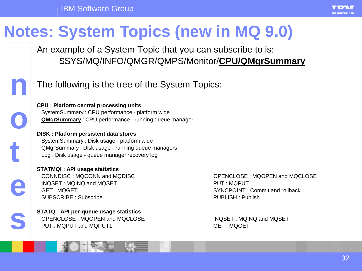

# **Notes: System Topics (new in MQ 9.0)**

An example of a System Topic that you can subscribe to is: \$SYS/MQ/INFO/QMGR/QMPS/Monitor/**CPU/QMgrSummary**



**o**

**t**

**e**

**s**

The following is the tree of the System Topics:

**CPU : Platform central processing units** SystemSummary : CPU performance - platform wide **QMgrSummary** : CPU performance - running queue manager

**DISK : Platform persistent data stores** SystemSummary : Disk usage - platform wide QMgrSummary : Disk usage - running queue managers Log : Disk usage - queue manager recovery log

**STATMQI : API usage statistics** INQSET : MQINQ and MQSET PUT : MQPUT : MQPUT GET : MQGET SYNCPOINT : Commit and rollback SUBSCRIBE : Subscribe **PUBLISH : PUBLISH : Publish** 

**STATQ : API per-queue usage statistics** OPENCLOSE : MQOPEN and MQCLOSE **INQUEL** INQSET : MQINQ and MQSET PUT : MQPUT and MQPUT1 GET : MQGET

CONNDISC : MQCONN and MQDISC OPENCLOSE : MQOPEN and MQCLOSE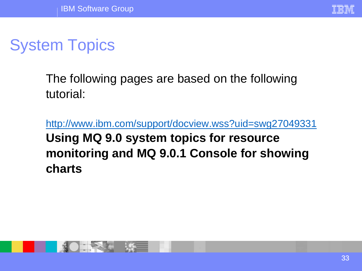

# System Topics

The following pages are based on the following tutorial:

<http://www.ibm.com/support/docview.wss?uid=swg27049331> **Using MQ 9.0 system topics for resource monitoring and MQ 9.0.1 Console for showing charts**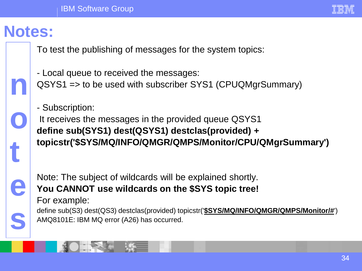### **Notes:**

**n**

**o**

**t**

**e**

**s**

To test the publishing of messages for the system topics:

- Local queue to received the messages: QSYS1 => to be used with subscriber SYS1 (CPUQMgrSummary)

- Subscription:

It receives the messages in the provided queue QSYS1 **define sub(SYS1) dest(QSYS1) destclas(provided) + topicstr('\$SYS/MQ/INFO/QMGR/QMPS/Monitor/CPU/QMgrSummary')**

Note: The subject of wildcards will be explained shortly. **You CANNOT use wildcards on the \$SYS topic tree!**

For example:

define sub(S3) dest(QS3) destclas(provided) topicstr('**\$SYS/MQ/INFO/QMGR/QMPS/Monitor/#**') AMQ8101E: IBM MQ error (A26) has occurred.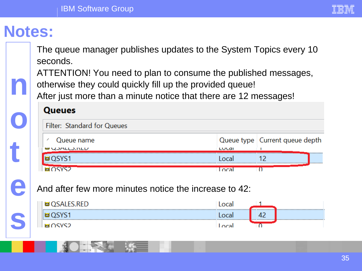### **Notes:**

**n**

**o**

**t**

**e**

**s**

The queue manager publishes updates to the System Topics every 10 seconds.

ATTENTION! You need to plan to consume the published messages, otherwise they could quickly fill up the provided queue!

After just more than a minute notice that there are 12 messages!

#### **Queues**

| Filter: Standard for Queues |        |                                  |
|-----------------------------|--------|----------------------------------|
| Queue name                  |        | Queue type   Current queue depth |
| <b>UU QUALLU INLU</b>       | LULai  |                                  |
| QSYS1                       | l ocal |                                  |
| nevet                       |        |                                  |

And after few more minutes notice the increase to 42:

| ∩cvcว | o col |  |
|-------|-------|--|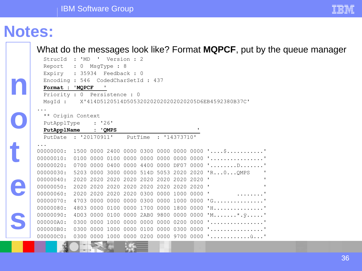### **Notes:**

**n**

**o**

**t**

**e**

**s**

What do the messages look like? Format **MQPCF**, put by the queue manager

| StrucId                      | : "MD"                    | л,                       | Version : 2    |         |      |                |                  |                                                     |
|------------------------------|---------------------------|--------------------------|----------------|---------|------|----------------|------------------|-----------------------------------------------------|
| Report                       | $\overline{0}$<br>$\cdot$ | MsgType : 8              |                |         |      |                |                  |                                                     |
| Expiry : $35934$             |                           | Feedback : 0             |                |         |      |                |                  |                                                     |
| Encoding: 546                |                           | CodedCharSetId: 437      |                |         |      |                |                  |                                                     |
| Format : 'MQPCF              |                           | τ.                       |                |         |      |                |                  |                                                     |
| Priority : 0 Persistence : 0 |                           |                          |                |         |      |                |                  |                                                     |
| MsqId :                      |                           |                          |                |         |      |                |                  | X'414D5120514D505320202020202020205D6EB4592380B37C' |
|                              |                           |                          |                |         |      |                |                  |                                                     |
| ** Origin Context            |                           |                          |                |         |      |                |                  |                                                     |
| PutApplType                  |                           | : '26'                   |                |         |      |                |                  |                                                     |
| PutApplName                  |                           | : 'QMPS                  |                |         |      |                | τ.               |                                                     |
| PutDate : '20170911'         |                           |                          |                | PutTime |      | : '14373710'   |                  |                                                     |
|                              |                           |                          |                |         |      |                |                  |                                                     |
| 00000000:                    |                           |                          |                |         |      |                |                  | 1500 0000 2400 0000 0300 0000 0000 0000 '\$'        |
| 00000010:                    | 0100                      | 0100<br>0000             | 0000 0000      |         |      |                |                  | 0000 0000 0000 ''                                   |
| 00000020:                    | 0700                      | 0000<br>0400             | 0000 4400      |         |      |                |                  | 0000 DF07 0000 'D'                                  |
| 00000030:                    |                           | 5203 0000 3000           |                |         |      |                |                  | 0000 514D 5053 2020 2020 'R0 QMPS<br>$\mathbf{I}$   |
| 00000040:                    | 2020                      | 2020<br>2020             | 2020 2020      |         | 2020 | 2020 2020      |                  | $\mathbf{r}$<br>Τ.                                  |
| 00000050:                    | 2020 2020                 |                          | 2020 2020 2020 |         |      |                | 2020 2020 2020 ' |                                                     |
| 00000060:                    | 2020 2020                 | 2020 2020                |                | 0300    | 0000 |                | 1000 0000        | $\blacksquare$                                      |
| 00000070:                    | 4703 0000                 |                          | 0000 0000 0300 |         |      |                |                  | 0000 1000 0000 'G'                                  |
| 00000080:                    | 4803 0000                 | 0100                     | 0000 1700      |         |      | 0000 1800 0000 |                  | $'$ H'                                              |
| 00000090:                    | 4D03 0000                 | 0100                     |                |         |      |                |                  | 0000 2AB0 9800 0000 0000 'M*. y'                    |
| 000000A0:                    | 0300                      | 0000<br>1000             | 0000 0000      |         |      |                |                  | 0000 0200 0000 ''                                   |
| 000000B0:                    | 0300                      | 0000<br>1000             | 0000           | 0100    | 0000 |                |                  | 0300 0000 ''                                        |
| 000000C0:                    |                           | 0300 0000 1000 0000 0200 |                |         |      |                |                  | 0000 9700 0000 ' ù'                                 |

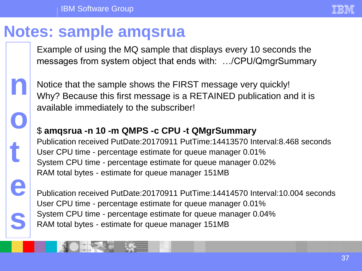

### **Notes: sample amqsrua**

Example of using the MQ sample that displays every 10 seconds the messages from system object that ends with: …/CPU/QmgrSummary



**e**

**s**

Notice that the sample shows the FIRST message very quickly! Why? Because this first message is a RETAINED publication and it is available immediately to the subscriber!

### \$ **amqsrua -n 10 -m QMPS -c CPU -t QMgrSummary**

Publication received PutDate:20170911 PutTime:14413570 Interval:8.468 seconds User CPU time - percentage estimate for queue manager 0.01% System CPU time - percentage estimate for queue manager 0.02% RAM total bytes - estimate for queue manager 151MB

Publication received PutDate:20170911 PutTime:14414570 Interval:10.004 seconds User CPU time - percentage estimate for queue manager 0.01% System CPU time - percentage estimate for queue manager 0.04% RAM total bytes - estimate for queue manager 151MB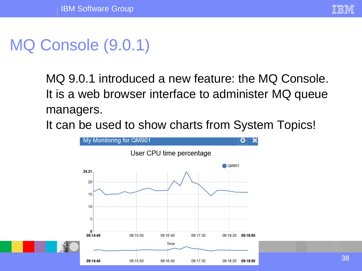# MQ Console (9.0.1)

MQ 9.0.1 introduced a new feature: the MQ Console. It is a web browser interface to administer MQ queue managers.

It can be used to show charts from System Topics!

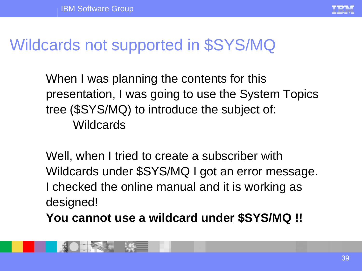

### Wildcards not supported in \$SYS/MQ

When I was planning the contents for this presentation, I was going to use the System Topics tree (\$SYS/MQ) to introduce the subject of: **Wildcards** 

Well, when I tried to create a subscriber with Wildcards under \$SYS/MQ I got an error message. I checked the online manual and it is working as designed!

**You cannot use a wildcard under \$SYS/MQ !!**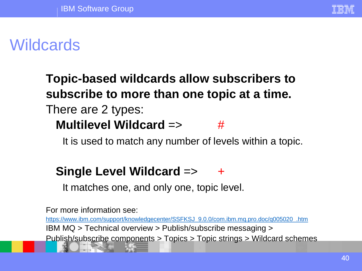

### **Wildcards**

### **Topic-based wildcards allow subscribers to subscribe to more than one topic at a time.** There are 2 types: **Multilevel Wildcard** => #

It is used to match any number of levels within a topic.

### **Single Level Wildcard => +**

It matches one, and only one, topic level.

For more information see: [https://www.ibm.com/support/knowledgecenter/SSFKSJ\\_9.0.0/com.ibm.mq.pro.doc/q005020\\_.htm](https://www.ibm.com/support/knowledgecenter/SSFKSJ_9.0.0/com.ibm.mq.pro.doc/q005020_.htm) IBM MQ > Technical overview > Publish/subscribe messaging > Publish/subscribe components > Topics > Topic strings > Wildcard schemes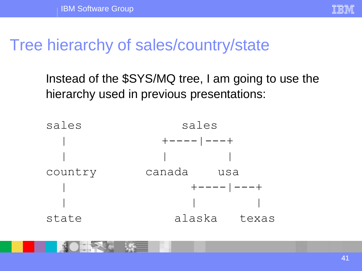

### Tree hierarchy of sales/country/state

Instead of the \$SYS/MQ tree, I am going to use the hierarchy used in previous presentations:

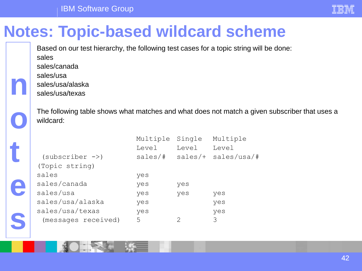

# **Notes: Topic-based wildcard scheme**

Based on our test hierarchy, the following test cases for a topic string will be done: sales

sales/canada

sales/usa

**n**

**s**

sales/usa/alaska

sales/usa/texas

The following table shows what matches and what does not match a given subscriber that uses a wildcard:

|   | The following table shows what matches and what does not match a giv<br>wildcard: |                   |                 |                                                           |
|---|-----------------------------------------------------------------------------------|-------------------|-----------------|-----------------------------------------------------------|
|   | $(subscripter ->)$<br>(Topic string)                                              | Multiple<br>Level | Single<br>Level | Multiple<br>Level<br>$sales/\ddagger$ sales/+ sales/usa/# |
|   | sales                                                                             | yes               |                 |                                                           |
|   | sales/canada                                                                      | yes               | yes             |                                                           |
| E | sales/usa                                                                         | yes               | yes             | yes                                                       |
|   | sales/usa/alaska                                                                  | yes               |                 | yes                                                       |
|   | sales/usa/texas                                                                   | yes               |                 | yes                                                       |
|   | (messages received)                                                               | 5                 |                 | 3                                                         |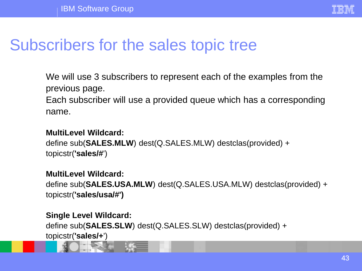

We will use 3 subscribers to represent each of the examples from the previous page. Each subscriber will use a provided queue which has a corresponding name.

#### **MultiLevel Wildcard:**

define sub(**SALES.MLW**) dest(Q.SALES.MLW) destclas(provided) + topicstr(**'sales/#**')

#### **MultiLevel Wildcard:**

define sub(**SALES.USA.MLW**) dest(Q.SALES.USA.MLW) destclas(provided) + topicstr(**'sales/usa/#')**

#### **Single Level Wildcard:**

define sub(**SALES.SLW**) dest(Q.SALES.SLW) destclas(provided) + topicstr(**'sales/+**')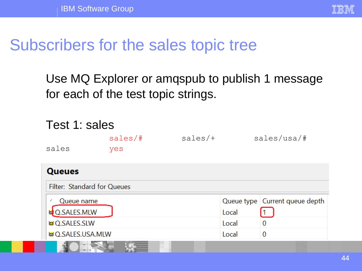

Use MQ Explorer or amqspub to publish 1 message for each of the test topic strings.

| Test 1: sales |                             |         |           |       |                                  |  |  |
|---------------|-----------------------------|---------|-----------|-------|----------------------------------|--|--|
|               |                             | sales/# | $sales/+$ |       | sales/usa/#                      |  |  |
|               | sales                       | yes     |           |       |                                  |  |  |
| <b>Queues</b> |                             |         |           |       |                                  |  |  |
|               | Filter: Standard for Queues |         |           |       |                                  |  |  |
|               | Queue name                  |         |           |       | Queue type   Current queue depth |  |  |
|               | LO.SALES.MLW                |         |           | Local |                                  |  |  |
|               | <b>■ Q.SALES.SLW</b>        |         |           | Local | 0                                |  |  |
|               | <b>© Q.SALES.USA.MLW</b>    |         |           | Local | $\overline{0}$                   |  |  |
|               |                             |         |           |       |                                  |  |  |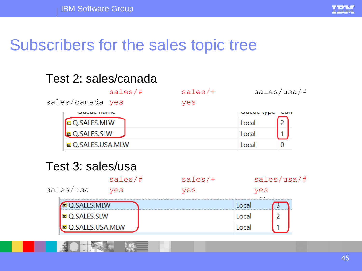

### Test 2: sales/canada

|                          | sales/# | $sales/+$ |                   | sales/usa/# |
|--------------------------|---------|-----------|-------------------|-------------|
| sales/canada yes         |         | yes       |                   |             |
| <b>QUEUE HOLLIE</b>      |         |           | <b>Queue</b> type | <b>Curr</b> |
| <b>MD</b> Q.SALES.MLW    |         |           | Local             |             |
| Q.SALES.SLW              |         |           | Local             |             |
| <b>© Q.SALES.USA.MLW</b> |         |           | Local             |             |

### Test 3: sales/usa

| sales/# | $sales/+$                            |     | sales/usa/# |
|---------|--------------------------------------|-----|-------------|
| ves     | yes<br>yes<br>. .                    |     |             |
|         |                                      |     |             |
|         |                                      | oca |             |
|         |                                      |     |             |
|         | <b>© Q.SALES.SLW</b><br>ALES.USA.MLW |     |             |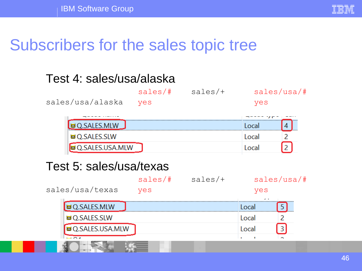

### Test 4: sales/usa/alaska

|                      | sales/# | sales/+         |       | sales/usa/# |  |
|----------------------|---------|-----------------|-------|-------------|--|
| sales/usa/alaska     | yes     |                 | yes   |             |  |
|                      |         |                 |       |             |  |
|                      |         |                 | Local |             |  |
| <b>© Q.SALES.SLW</b> |         |                 | Local |             |  |
|                      |         |                 | Local |             |  |
|                      |         | 2.SALES.USA.MLW |       |             |  |

### Test 5: sales/usa/texas

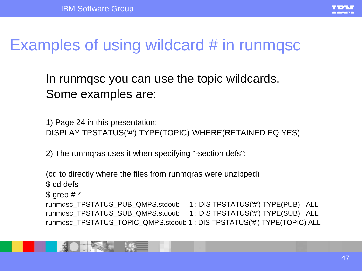

# Examples of using wildcard # in runmqsc

In runmqsc you can use the topic wildcards. Some examples are:

1) Page 24 in this presentation: DISPLAY TPSTATUS('#') TYPE(TOPIC) WHERE(RETAINED EQ YES)

2) The runmqras uses it when specifying "-section defs":

(cd to directly where the files from runmqras were unzipped) \$ cd defs  $\text{\$}$  grep #  $\text{\text{*}}$ runmqsc\_TPSTATUS\_PUB\_QMPS.stdout: 1 : DIS TPSTATUS('#') TYPE(PUB) ALL runmqsc\_TPSTATUS\_SUB\_QMPS.stdout: 1 : DIS TPSTATUS('#') TYPE(SUB) ALL runmqsc\_TPSTATUS\_TOPIC\_QMPS.stdout: 1 : DIS TPSTATUS('#') TYPE(TOPIC) ALL